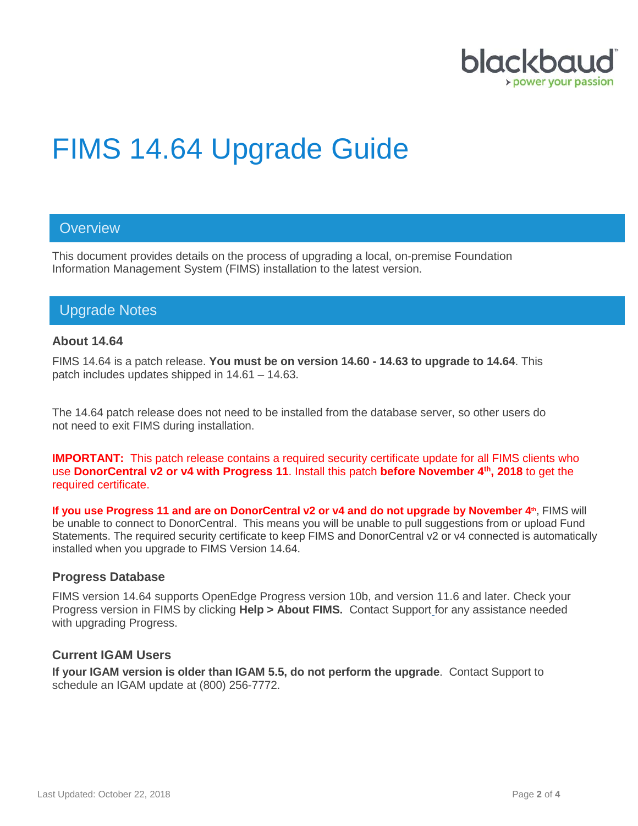

# FIMS 14.64 Upgrade Guide

## **Overview**

This document provides details on the process of upgrading a local, on-premise Foundation Information Management System (FIMS) installation to the latest version.

# Upgrade Notes

#### **About 14.64**

FIMS 14.64 is a patch release. **You must be on version 14.60 - 14.63 to upgrade to 14.64**. This patch includes updates shipped in 14.61 – 14.63.

The 14.64 patch release does not need to be installed from the database server, so other users do not need to exit FIMS during installation.

**IMPORTANT:** This patch release contains a required security certificate update for all FIMS clients who use **DonorCentral v2 or v4 with Progress 11**. Install this patch **before November 4th, 2018** to get the required certificate.

**If you use Progress 11 and are on DonorCentral v2 or v4 and do not upgrade by November 4<sup>th</sup>, FIMS will** be unable to connect to DonorCentral. This means you will be unable to pull suggestions from or upload Fund Statements. The required security certificate to keep FIMS and DonorCentral v2 or v4 connected is automatically installed when you upgrade to FIMS Version 14.64.

#### **Progress Database**

FIMS version 14.64 supports OpenEdge Progress version 10b, and version 11.6 and later. Check your Progress version in FIMS by clicking **Help > About FIMS.** Contact Support for any assistance needed with upgrading Progress.

#### **Current IGAM Users**

**If your IGAM version is older than IGAM 5.5, do not perform the upgrade**. Contact Support to schedule an IGAM update at (800) 256-7772.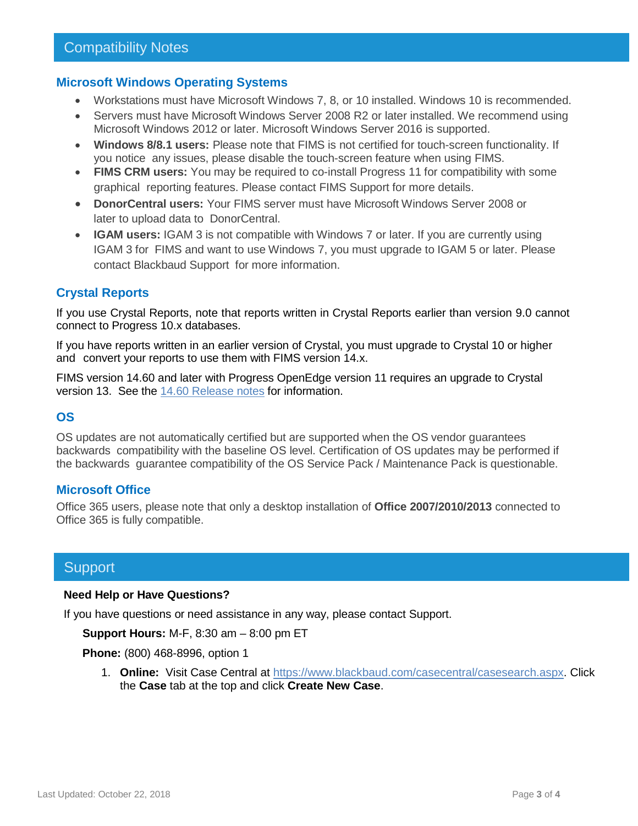#### **Microsoft Windows Operating Systems**

- Workstations must have Microsoft Windows 7, 8, or 10 installed. Windows 10 is recommended.
- Servers must have Microsoft Windows Server 2008 R2 or later installed. We recommend using Microsoft Windows 2012 or later. Microsoft Windows Server 2016 is supported.
- **Windows 8/8.1 users:** Please note that FIMS is not certified for touch-screen functionality. If you notice any issues, please disable the touch-screen feature when using FIMS.
- **FIMS CRM users:** You may be required to co-install Progress 11 for compatibility with some graphical reporting features. Please contact FIMS Support for more details.
- **DonorCentral users:** Your FIMS server must have Microsoft Windows Server 2008 or later to upload data to DonorCentral.
- **IGAM users:** IGAM 3 is not compatible with Windows 7 or later. If you are currently using IGAM 3 for FIMS and want to use Windows 7, you must upgrade to IGAM 5 or later. Please contact Blackbaud Support for more information.

### **Crystal Reports**

If you use Crystal Reports, note that reports written in Crystal Reports earlier than version 9.0 cannot connect to Progress 10.x databases.

If you have reports written in an earlier version of Crystal, you must upgrade to Crystal 10 or higher and convert your reports to use them with FIMS version 14.x.

FIMS version 14.60 and later with Progress OpenEdge version 11 requires an upgrade to Crystal version 13. See the 14.60 [Release notes](https://www.blackbaud.com/files/support/guides/microedge/fims/fims1460update_releasenotes.pdf) for information.

#### **OS**

OS updates are not automatically certified but are supported when the OS vendor guarantees backwards compatibility with the baseline OS level. Certification of OS updates may be performed if the backwards guarantee compatibility of the OS Service Pack / Maintenance Pack is questionable.

#### **Microsoft Office**

Office 365 users, please note that only a desktop installation of **Office 2007/2010/2013** connected to Office 365 is fully compatible.

## **Support**

#### **Need Help or Have Questions?**

If you have questions or need assistance in any way, please contact Support.

**Support Hours:** M-F, 8:30 am – 8:00 pm ET

**Phone:** (800) 468-8996, option 1

1. **Online:** Visit Case Central at [https://www.blackbaud.com/casecentral/casesearch.aspx.](https://www.blackbaud.com/casecentral/casesearch.aspx) Click the **Case** tab at the top and click **Create New Case**.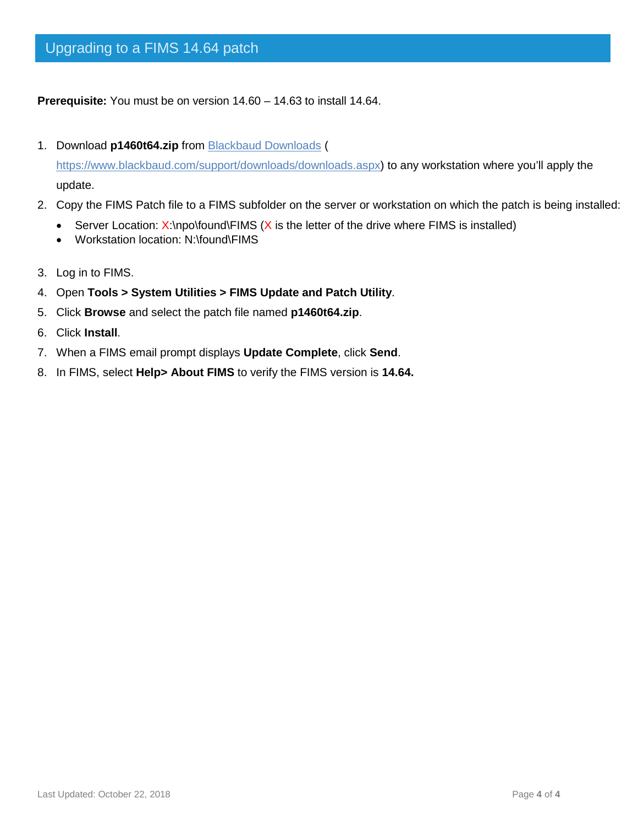**Prerequisite:** You must be on version 14.60 – 14.63 to install 14.64.

1. Download **p1460t64.zip** from [Blackbaud Downloads](https://www.blackbaud.com/support/downloads/downloads.aspx) (

[https://www.blackbaud.com/support/downloads/downloads.aspx\)](https://www.blackbaud.com/support/downloads/downloads.aspx) to any workstation where you'll apply the update.

- 2. Copy the FIMS Patch file to a FIMS subfolder on the server or workstation on which the patch is being installed:
	- Server Location:  $X:\n\rho\to W$  is the letter of the drive where FIMS is installed)
	- Workstation location: N:\found\FIMS
- 3. Log in to FIMS.
- 4. Open **Tools > System Utilities > FIMS Update and Patch Utility**.
- 5. Click **Browse** and select the patch file named **p1460t64.zip**.
- 6. Click **Install**.
- 7. When a FIMS email prompt displays **Update Complete**, click **Send**.
- 8. In FIMS, select **Help> About FIMS** to verify the FIMS version is **14.64.**